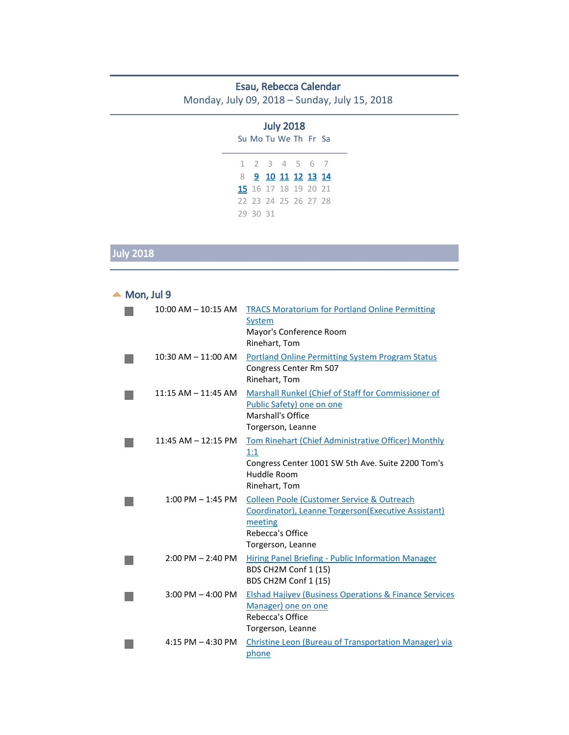#### Esau, Rebecca Calendar

Monday, July 09, 2018 – Sunday, July 15, 2018

|          | <b>July 2018</b>            |  |  |
|----------|-----------------------------|--|--|
|          | Su Mo Tu We The Fresta      |  |  |
|          | 1 2 3 4 5 6 7               |  |  |
|          | 8 9 10 11 12 13 14          |  |  |
|          | <b>15</b> 16 17 18 19 20 21 |  |  |
|          | 22 23 24 25 26 27 28        |  |  |
| 29 30 31 |                             |  |  |

# July 2018

<span id="page-0-0"></span>

| Mon, Jul 9 |                         |                                                                                                                                                       |
|------------|-------------------------|-------------------------------------------------------------------------------------------------------------------------------------------------------|
|            | $10:00$ AM $- 10:15$ AM | <b>TRACS Moratorium for Portland Online Permitting</b><br>System<br>Mayor's Conference Room<br>Rinehart, Tom                                          |
|            | $10:30$ AM $- 11:00$ AM | <b>Portland Online Permitting System Program Status</b><br>Congress Center Rm 507<br>Rinehart, Tom                                                    |
|            | $11:15$ AM $- 11:45$ AM | Marshall Runkel (Chief of Staff for Commissioner of<br>Public Safety) one on one<br>Marshall's Office<br>Torgerson, Leanne                            |
|            | $11:45$ AM $- 12:15$ PM | Tom Rinehart (Chief Administrative Officer) Monthly<br>1:1<br>Congress Center 1001 SW 5th Ave. Suite 2200 Tom's<br>Huddle Room<br>Rinehart, Tom       |
|            | $1:00$ PM $-1:45$ PM    | Colleen Poole (Customer Service & Outreach<br>Coordinator), Leanne Torgerson(Executive Assistant)<br>meeting<br>Rebecca's Office<br>Torgerson, Leanne |
|            | $2:00$ PM $- 2:40$ PM   | <b>Hiring Panel Briefing - Public Information Manager</b><br>BDS CH2M Conf 1 (15)<br>BDS CH2M Conf 1 (15)                                             |
|            | $3:00$ PM $-$ 4:00 PM   | <b>Elshad Hajiyev (Business Operations &amp; Finance Services)</b><br>Manager) one on one<br>Rebecca's Office<br>Torgerson, Leanne                    |
|            | 4:15 PM $-$ 4:30 PM     | Christine Leon (Bureau of Transportation Manager) via<br>phone                                                                                        |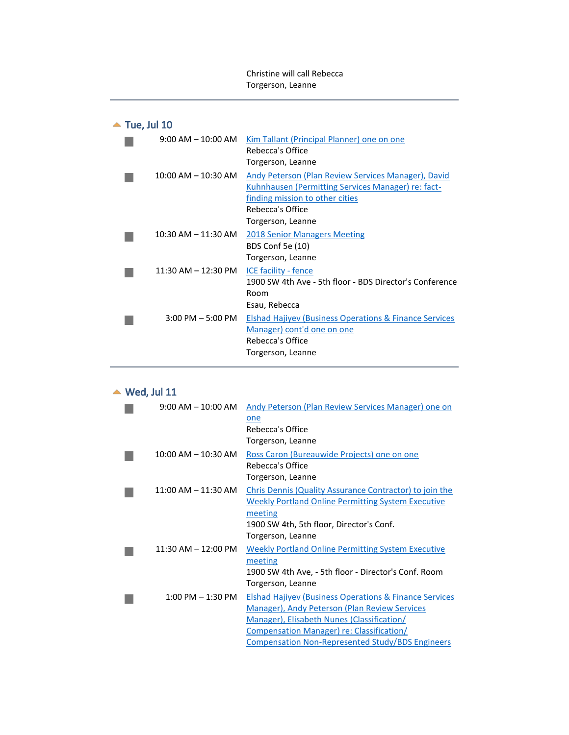Christine will call Rebecca Torgerson, Leanne

## $\blacktriangle$  Tue, Jul 10

<span id="page-1-0"></span>

| $9:00$ AM $-10:00$ AM   | Kim Tallant (Principal Planner) one on one<br>Rebecca's Office<br>Torgerson, Leanne                                                                                                   |
|-------------------------|---------------------------------------------------------------------------------------------------------------------------------------------------------------------------------------|
| $10:00$ AM $- 10:30$ AM | Andy Peterson (Plan Review Services Manager), David<br>Kuhnhausen (Permitting Services Manager) re: fact-<br>finding mission to other cities<br>Rebecca's Office<br>Torgerson, Leanne |
| $10:30$ AM $- 11:30$ AM | <b>2018 Senior Managers Meeting</b><br><b>BDS Conf 5e (10)</b><br>Torgerson, Leanne                                                                                                   |
| $11:30$ AM $- 12:30$ PM | ICE facility - fence<br>1900 SW 4th Ave - 5th floor - BDS Director's Conference<br>Room<br>Esau, Rebecca                                                                              |
| $3:00$ PM $-5:00$ PM    | <b>Elshad Hajiyev (Business Operations &amp; Finance Services)</b><br>Manager) cont'd one on one<br>Rebecca's Office<br>Torgerson, Leanne                                             |

### $\triangle$  Wed, Jul 11

<span id="page-1-1"></span>

| $9:00 \, \text{AM} - 10:00 \, \text{AM}$ | Andy Peterson (Plan Review Services Manager) one on<br>one<br>Rebecca's Office<br>Torgerson, Leanne                                                                                                                                                                             |
|------------------------------------------|---------------------------------------------------------------------------------------------------------------------------------------------------------------------------------------------------------------------------------------------------------------------------------|
| $10:00$ AM $- 10:30$ AM                  | Ross Caron (Bureauwide Projects) one on one<br>Rebecca's Office<br>Torgerson, Leanne                                                                                                                                                                                            |
| $11:00$ AM $- 11:30$ AM                  | Chris Dennis (Quality Assurance Contractor) to join the<br><b>Weekly Portland Online Permitting System Executive</b><br>meeting<br>1900 SW 4th, 5th floor, Director's Conf.<br>Torgerson, Leanne                                                                                |
| $11:30$ AM $- 12:00$ PM                  | <b>Weekly Portland Online Permitting System Executive</b><br>meeting<br>1900 SW 4th Ave, - 5th floor - Director's Conf. Room<br>Torgerson, Leanne                                                                                                                               |
| $1:00 \text{ PM} - 1:30 \text{ PM}$      | <b>Elshad Hajiyev (Business Operations &amp; Finance Services</b><br>Manager), Andy Peterson (Plan Review Services<br>Manager), Elisabeth Nunes (Classification/<br><b>Compensation Manager) re: Classification/</b><br><b>Compensation Non-Represented Study/BDS Engineers</b> |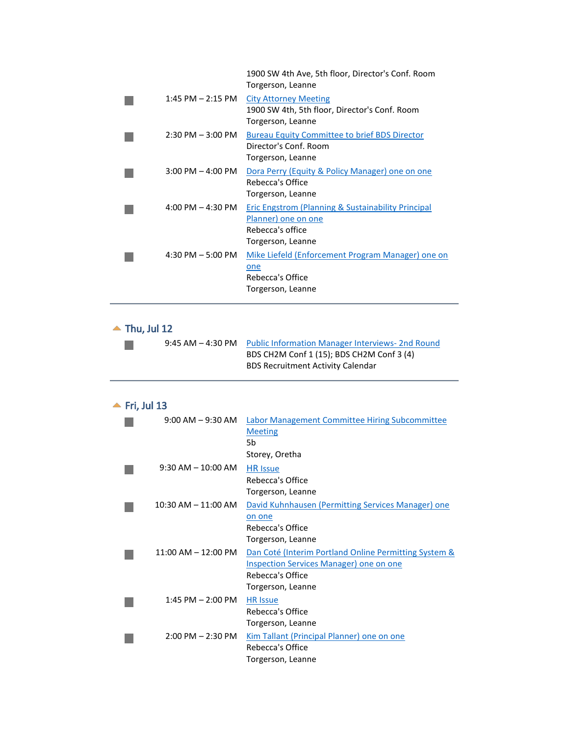| $1:45$ PM $- 2:15$ PM<br><b>City Attorney Meeting</b><br>1900 SW 4th, 5th floor, Director's Conf. Room<br>Torgerson, Leanne<br>$2:30$ PM $-3:00$ PM<br><b>Bureau Equity Committee to brief BDS Director</b><br>Director's Conf. Room<br>Torgerson, Leanne<br>$3:00 \text{ PM} - 4:00 \text{ PM}$<br>Rebecca's Office<br>Torgerson, Leanne<br>$4:00$ PM $- 4:30$ PM<br>Planner) one on one<br>Rebecca's office<br>Torgerson, Leanne<br>$4:30$ PM $-5:00$ PM<br>one | 1900 SW 4th Ave, 5th floor, Director's Conf. Room<br>Torgerson, Leanne |
|-------------------------------------------------------------------------------------------------------------------------------------------------------------------------------------------------------------------------------------------------------------------------------------------------------------------------------------------------------------------------------------------------------------------------------------------------------------------|------------------------------------------------------------------------|
|                                                                                                                                                                                                                                                                                                                                                                                                                                                                   |                                                                        |
|                                                                                                                                                                                                                                                                                                                                                                                                                                                                   |                                                                        |
|                                                                                                                                                                                                                                                                                                                                                                                                                                                                   | Dora Perry (Equity & Policy Manager) one on one                        |
|                                                                                                                                                                                                                                                                                                                                                                                                                                                                   | <b>Eric Engstrom (Planning &amp; Sustainability Principal</b>          |
| Torgerson, Leanne                                                                                                                                                                                                                                                                                                                                                                                                                                                 | Mike Liefeld (Enforcement Program Manager) one on<br>Rebecca's Office  |

## $\blacktriangle$  Thu, Jul 12

 $\mathcal{L}_{\mathcal{A}}$ 

<span id="page-2-0"></span>

| 9:45 AM – 4:30 PM Public Information Manager Interviews- 2nd Round |  |  |
|--------------------------------------------------------------------|--|--|
| BDS CH2M Conf 1 (15); BDS CH2M Conf 3 (4)                          |  |  |
| <b>BDS Recruitment Activity Calendar</b>                           |  |  |

## $\blacktriangle$  Fri, Jul 13

<span id="page-2-1"></span>

| $9:00$ AM $-9:30$ AM                | <b>Labor Management Committee Hiring Subcommittee</b><br><b>Meeting</b><br>5b<br>Storey, Oretha                                                  |
|-------------------------------------|--------------------------------------------------------------------------------------------------------------------------------------------------|
| $9:30$ AM $- 10:00$ AM              | <b>HR</b> Issue<br>Rebecca's Office<br>Torgerson, Leanne                                                                                         |
| $10:30$ AM $- 11:00$ AM             | David Kuhnhausen (Permitting Services Manager) one<br>on one<br>Rebecca's Office<br>Torgerson, Leanne                                            |
| $11:00$ AM $- 12:00$ PM             | Dan Coté (Interim Portland Online Permitting System &<br><b>Inspection Services Manager) one on one</b><br>Rebecca's Office<br>Torgerson, Leanne |
| $1:45$ PM $- 2:00$ PM               | <b>HR Issue</b><br>Rebecca's Office<br>Torgerson, Leanne                                                                                         |
| $2:00 \text{ PM} - 2:30 \text{ PM}$ | Kim Tallant (Principal Planner) one on one<br>Rebecca's Office<br>Torgerson, Leanne                                                              |